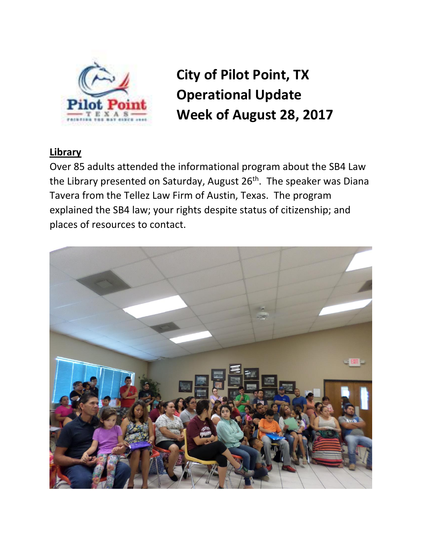

**City of Pilot Point, TX Operational Update Week of August 28, 2017**

## **Library**

Over 85 adults attended the informational program about the SB4 Law the Library presented on Saturday, August 26<sup>th</sup>. The speaker was Diana Tavera from the Tellez Law Firm of Austin, Texas. The program explained the SB4 law; your rights despite status of citizenship; and places of resources to contact.

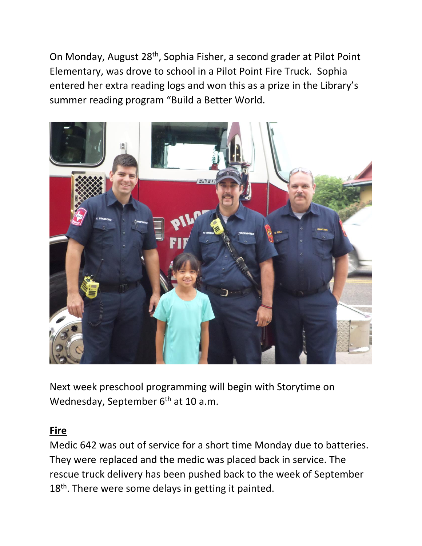On Monday, August 28th, Sophia Fisher, a second grader at Pilot Point Elementary, was drove to school in a Pilot Point Fire Truck. Sophia entered her extra reading logs and won this as a prize in the Library's summer reading program "Build a Better World.



Next week preschool programming will begin with Storytime on Wednesday, September 6<sup>th</sup> at 10 a.m.

### **Fire**

Medic 642 was out of service for a short time Monday due to batteries. They were replaced and the medic was placed back in service. The rescue truck delivery has been pushed back to the week of September 18<sup>th</sup>. There were some delays in getting it painted.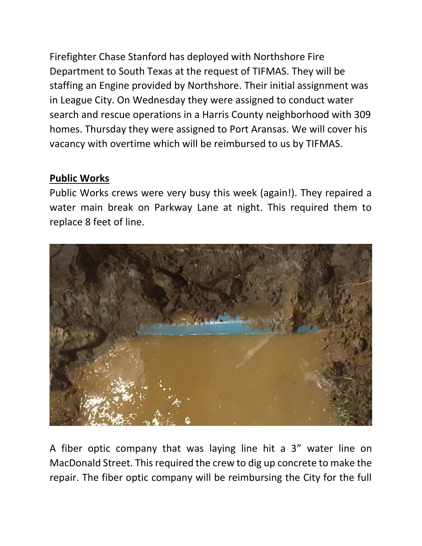Firefighter Chase Stanford has deployed with Northshore Fire Department to South Texas at the request of TIFMAS. They will be staffing an Engine provided by Northshore. Their initial assignment was in League City. On Wednesday they were assigned to conduct water search and rescue operations in a Harris County neighborhood with 309 homes. Thursday they were assigned to Port Aransas. We will cover his vacancy with overtime which will be reimbursed to us by TIFMAS.

## **Public Works**

Public Works crews were very busy this week (again!). They repaired a water main break on Parkway Lane at night. This required them to replace 8 feet of line.



A fiber optic company that was laying line hit a 3" water line on MacDonald Street. This required the crew to dig up concrete to make the repair. The fiber optic company will be reimbursing the City for the full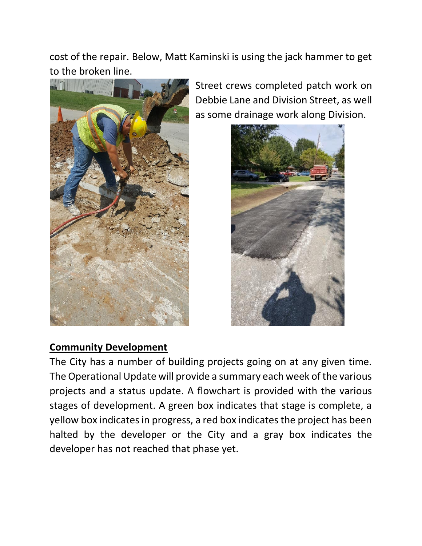cost of the repair. Below, Matt Kaminski is using the jack hammer to get to the broken line.



Street crews completed patch work on Debbie Lane and Division Street, as well as some drainage work along Division.



### **Community Development**

The City has a number of building projects going on at any given time. The Operational Update will provide a summary each week of the various projects and a status update. A flowchart is provided with the various stages of development. A green box indicates that stage is complete, a yellow box indicates in progress, a red box indicates the project has been halted by the developer or the City and a gray box indicates the developer has not reached that phase yet.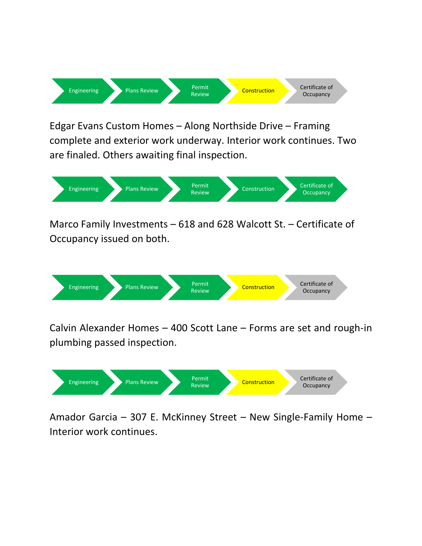

Edgar Evans Custom Homes – Along Northside Drive – Framing complete and exterior work underway. Interior work continues. Two are finaled. Others awaiting final inspection.



Marco Family Investments – 618 and 628 Walcott St. – Certificate of Occupancy issued on both.



Calvin Alexander Homes – 400 Scott Lane – Forms are set and rough-in plumbing passed inspection.



Amador Garcia – 307 E. McKinney Street – New Single-Family Home – Interior work continues.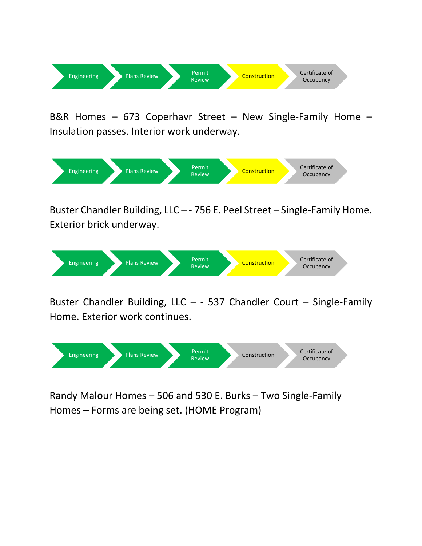

B&R Homes – 673 Coperhavr Street – New Single-Family Home – Insulation passes. Interior work underway.



Buster Chandler Building, LLC – - 756 E. Peel Street – Single-Family Home. Exterior brick underway.



Buster Chandler Building, LLC – - 537 Chandler Court – Single-Family Home. Exterior work continues.



Randy Malour Homes – 506 and 530 E. Burks – Two Single-Family Homes – Forms are being set. (HOME Program)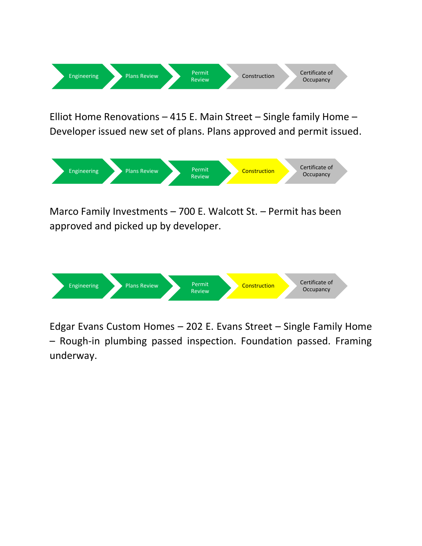

Elliot Home Renovations – 415 E. Main Street – Single family Home – Developer issued new set of plans. Plans approved and permit issued.



Marco Family Investments – 700 E. Walcott St. – Permit has been approved and picked up by developer.



Edgar Evans Custom Homes – 202 E. Evans Street – Single Family Home – Rough-in plumbing passed inspection. Foundation passed. Framing underway.